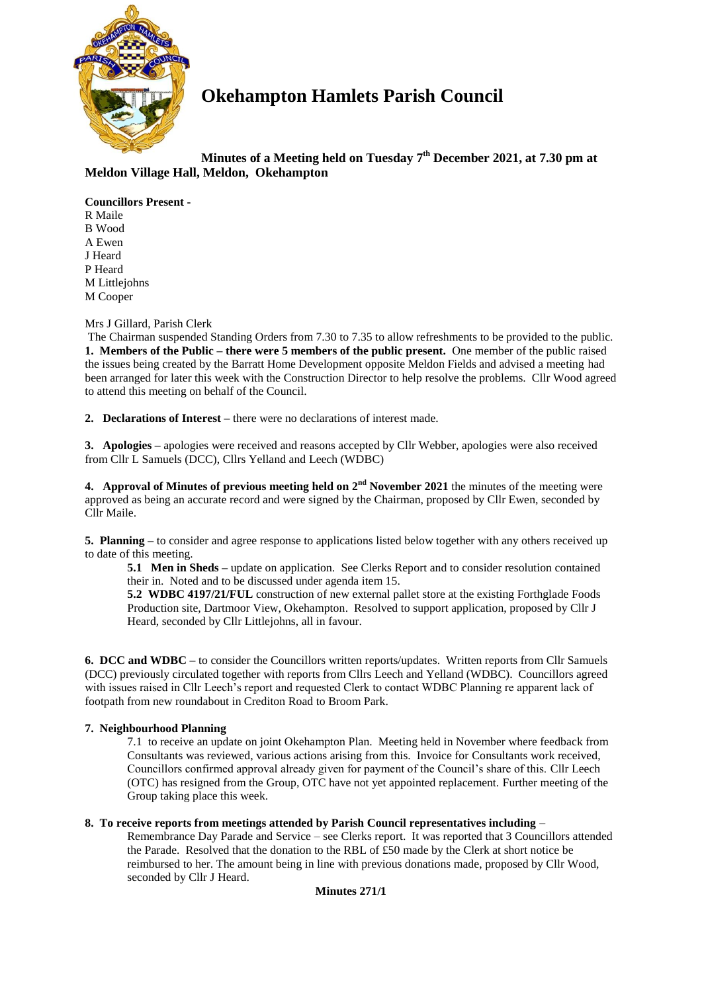

# **Okehampton Hamlets Parish Council**

# **Minutes of a Meeting held on Tuesday 7 th December 2021, at 7.30 pm at Meldon Village Hall, Meldon, Okehampton**

## **Councillors Present -**

R Maile B Wood A Ewen J Heard P Heard M Littlejohns M Cooper

## Mrs J Gillard, Parish Clerk

The Chairman suspended Standing Orders from 7.30 to 7.35 to allow refreshments to be provided to the public. **1. Members of the Public – there were 5 members of the public present.** One member of the public raised the issues being created by the Barratt Home Development opposite Meldon Fields and advised a meeting had been arranged for later this week with the Construction Director to help resolve the problems. Cllr Wood agreed to attend this meeting on behalf of the Council.

**2. Declarations of Interest –** there were no declarations of interest made.

**3. Apologies –** apologies were received and reasons accepted by Cllr Webber, apologies were also received from Cllr L Samuels (DCC), Cllrs Yelland and Leech (WDBC)

**4.** Approval of Minutes of previous meeting held on  $2^{nd}$  November 2021 the minutes of the meeting were approved as being an accurate record and were signed by the Chairman, proposed by Cllr Ewen, seconded by Cllr Maile.

**5. Planning –** to consider and agree response to applications listed below together with any others received up to date of this meeting.

**5.1 Men in Sheds –** update on application. See Clerks Report and to consider resolution contained their in. Noted and to be discussed under agenda item 15.

**5.2 WDBC 4197/21/FUL** construction of new external pallet store at the existing Forthglade Foods Production site, Dartmoor View, Okehampton. Resolved to support application, proposed by Cllr J Heard, seconded by Cllr Littlejohns, all in favour.

**6. DCC and WDBC –** to consider the Councillors written reports/updates. Written reports from Cllr Samuels (DCC) previously circulated together with reports from Cllrs Leech and Yelland (WDBC). Councillors agreed with issues raised in Cllr Leech's report and requested Clerk to contact WDBC Planning re apparent lack of footpath from new roundabout in Crediton Road to Broom Park.

## **7. Neighbourhood Planning**

7.1 to receive an update on joint Okehampton Plan. Meeting held in November where feedback from Consultants was reviewed, various actions arising from this. Invoice for Consultants work received, Councillors confirmed approval already given for payment of the Council's share of this. Cllr Leech (OTC) has resigned from the Group, OTC have not yet appointed replacement. Further meeting of the Group taking place this week.

## **8. To receive reports from meetings attended by Parish Council representatives including** –

Remembrance Day Parade and Service – see Clerks report. It was reported that 3 Councillors attended the Parade. Resolved that the donation to the RBL of £50 made by the Clerk at short notice be reimbursed to her. The amount being in line with previous donations made, proposed by Cllr Wood, seconded by Cllr J Heard.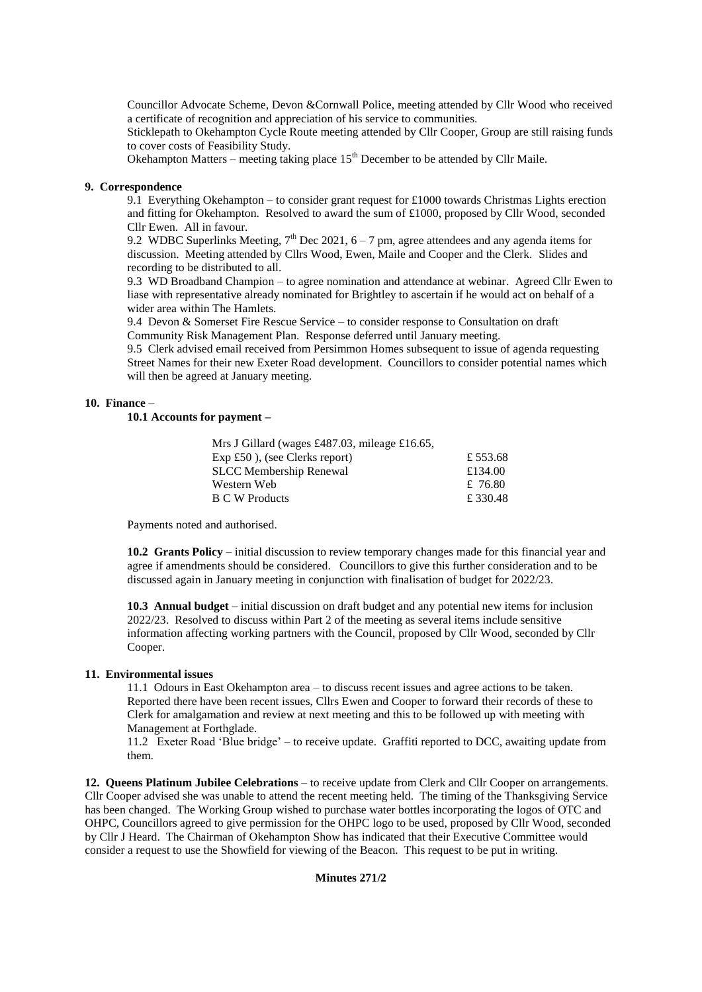Councillor Advocate Scheme, Devon &Cornwall Police, meeting attended by Cllr Wood who received a certificate of recognition and appreciation of his service to communities.

Sticklepath to Okehampton Cycle Route meeting attended by Cllr Cooper, Group are still raising funds to cover costs of Feasibility Study.

Okehampton Matters – meeting taking place  $15<sup>th</sup>$  December to be attended by Cllr Maile.

## **9. Correspondence**

9.1 Everything Okehampton – to consider grant request for £1000 towards Christmas Lights erection and fitting for Okehampton. Resolved to award the sum of £1000, proposed by Cllr Wood, seconded Cllr Ewen. All in favour.

9.2 WDBC Superlinks Meeting,  $7<sup>th</sup>$  Dec 2021, 6 – 7 pm, agree attendees and any agenda items for discussion. Meeting attended by Cllrs Wood, Ewen, Maile and Cooper and the Clerk. Slides and recording to be distributed to all.

9.3 WD Broadband Champion – to agree nomination and attendance at webinar. Agreed Cllr Ewen to liase with representative already nominated for Brightley to ascertain if he would act on behalf of a wider area within The Hamlets.

9.4 Devon & Somerset Fire Rescue Service – to consider response to Consultation on draft Community Risk Management Plan. Response deferred until January meeting.

9.5 Clerk advised email received from Persimmon Homes subsequent to issue of agenda requesting Street Names for their new Exeter Road development. Councillors to consider potential names which will then be agreed at January meeting.

#### **10. Finance** –

## **10.1 Accounts for payment –**

| Mrs J Gillard (wages £487.03, mileage £16.65, |         |
|-----------------------------------------------|---------|
| $Exp f50$ ), (see Clerks report)              | £553.68 |
| <b>SLCC</b> Membership Renewal                | £134.00 |
| Western Web                                   | £ 76.80 |
| <b>B C W Products</b>                         | £330.48 |

Payments noted and authorised.

**10.2 Grants Policy** – initial discussion to review temporary changes made for this financial year and agree if amendments should be considered. Councillors to give this further consideration and to be discussed again in January meeting in conjunction with finalisation of budget for 2022/23.

**10.3 Annual budget** – initial discussion on draft budget and any potential new items for inclusion 2022/23. Resolved to discuss within Part 2 of the meeting as several items include sensitive information affecting working partners with the Council, proposed by Cllr Wood, seconded by Cllr Cooper.

#### **11. Environmental issues**

11.1 Odours in East Okehampton area – to discuss recent issues and agree actions to be taken. Reported there have been recent issues, Cllrs Ewen and Cooper to forward their records of these to Clerk for amalgamation and review at next meeting and this to be followed up with meeting with Management at Forthglade.

11.2 Exeter Road 'Blue bridge' – to receive update. Graffiti reported to DCC, awaiting update from them.

**12. Queens Platinum Jubilee Celebrations** – to receive update from Clerk and Cllr Cooper on arrangements. Cllr Cooper advised she was unable to attend the recent meeting held. The timing of the Thanksgiving Service has been changed. The Working Group wished to purchase water bottles incorporating the logos of OTC and OHPC, Councillors agreed to give permission for the OHPC logo to be used, proposed by Cllr Wood, seconded by Cllr J Heard. The Chairman of Okehampton Show has indicated that their Executive Committee would consider a request to use the Showfield for viewing of the Beacon. This request to be put in writing.

### **Minutes 271/2**